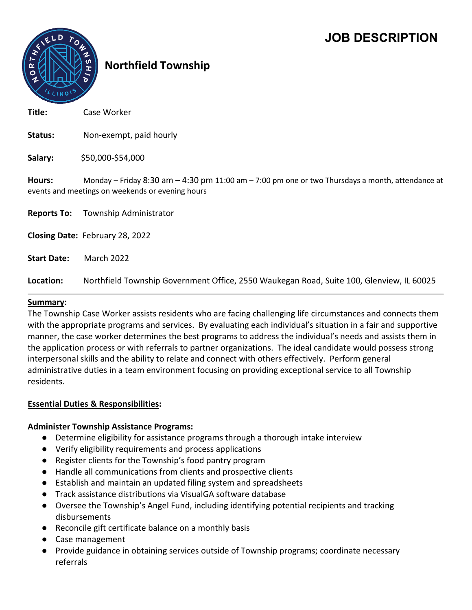# **JOB DESCRIPTION**



# **Northfield Township**

**Title:** Case Worker

**Status:** Non-exempt, paid hourly

**Salary:** \$50,000-\$54,000

**Hours:** Monday – Friday 8:30 am – 4:30 pm 11:00 am – 7:00 pm one or two Thursdays a month, attendance at events and meetings on weekends or evening hours

**Reports To:** Township Administrator

**Closing Date:** February 28, 2022

**Start Date:** March 2022

**Location:** Northfield Township Government Office, 2550 Waukegan Road, Suite 100, Glenview, IL 60025

#### **Summary:**

The Township Case Worker assists residents who are facing challenging life circumstances and connects them with the appropriate programs and services. By evaluating each individual's situation in a fair and supportive manner, the case worker determines the best programs to address the individual's needs and assists them in the application process or with referrals to partner organizations. The ideal candidate would possess strong interpersonal skills and the ability to relate and connect with others effectively. Perform general administrative duties in a team environment focusing on providing exceptional service to all Township residents.

#### **Essential Duties & Responsibilities:**

#### **Administer Township Assistance Programs:**

- Determine eligibility for assistance programs through a thorough intake interview
- Verify eligibility requirements and process applications
- Register clients for the Township's food pantry program
- Handle all communications from clients and prospective clients
- Establish and maintain an updated filing system and spreadsheets
- Track assistance distributions via VisualGA software database
- Oversee the Township's Angel Fund, including identifying potential recipients and tracking disbursements
- Reconcile gift certificate balance on a monthly basis
- Case management
- Provide guidance in obtaining services outside of Township programs; coordinate necessary referrals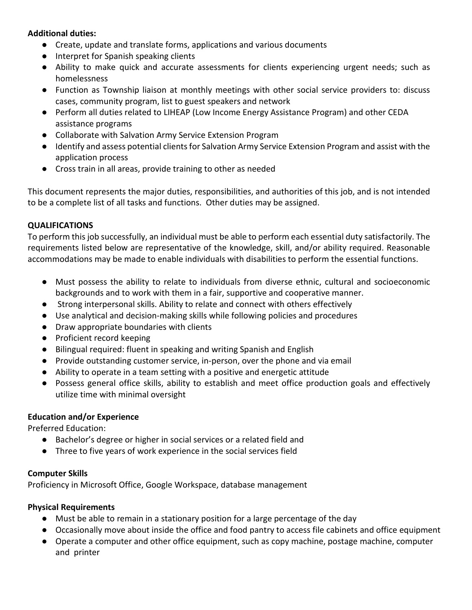#### **Additional duties:**

- Create, update and translate forms, applications and various documents
- Interpret for Spanish speaking clients
- Ability to make quick and accurate assessments for clients experiencing urgent needs; such as homelessness
- Function as Township liaison at monthly meetings with other social service providers to: discuss cases, community program, list to guest speakers and network
- Perform all duties related to LIHEAP (Low Income Energy Assistance Program) and other CEDA assistance programs
- Collaborate with Salvation Army Service Extension Program
- Identify and assess potential clients for Salvation Army Service Extension Program and assist with the application process
- Cross train in all areas, provide training to other as needed

This document represents the major duties, responsibilities, and authorities of this job, and is not intended to be a complete list of all tasks and functions. Other duties may be assigned.

# **QUALIFICATIONS**

To perform this job successfully, an individual must be able to perform each essential duty satisfactorily. The requirements listed below are representative of the knowledge, skill, and/or ability required. Reasonable accommodations may be made to enable individuals with disabilities to perform the essential functions.

- Must possess the ability to relate to individuals from diverse ethnic, cultural and socioeconomic backgrounds and to work with them in a fair, supportive and cooperative manner.
- Strong interpersonal skills. Ability to relate and connect with others effectively
- Use analytical and decision-making skills while following policies and procedures
- Draw appropriate boundaries with clients
- Proficient record keeping
- Bilingual required: fluent in speaking and writing Spanish and English
- Provide outstanding customer service, in-person, over the phone and via email
- Ability to operate in a team setting with a positive and energetic attitude
- Possess general office skills, ability to establish and meet office production goals and effectively utilize time with minimal oversight

# **Education and/or Experience**

Preferred Education:

- Bachelor's degree or higher in social services or a related field and
- Three to five years of work experience in the social services field

# **Computer Skills**

Proficiency in Microsoft Office, Google Workspace, database management

# **Physical Requirements**

- Must be able to remain in a stationary position for a large percentage of the day
- Occasionally move about inside the office and food pantry to access file cabinets and office equipment
- Operate a computer and other office equipment, such as copy machine, postage machine, computer and printer